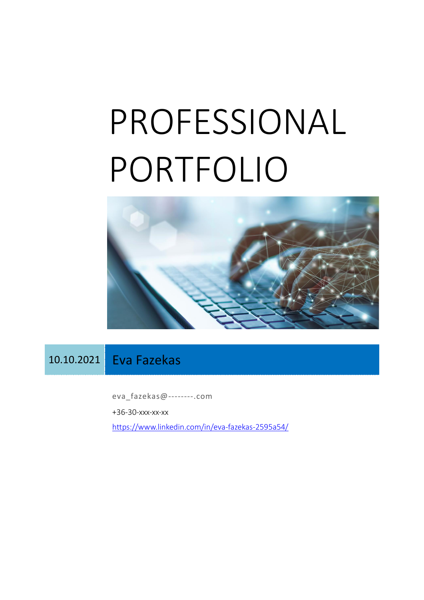# PROFESSIONAL PORTFOLIO



# 10.10.2021 Eva Fazekas

eva\_fazekas@--------.com +36-30-xxx-xx-xx <https://www.linkedin.com/in/eva-fazekas-2595a54/>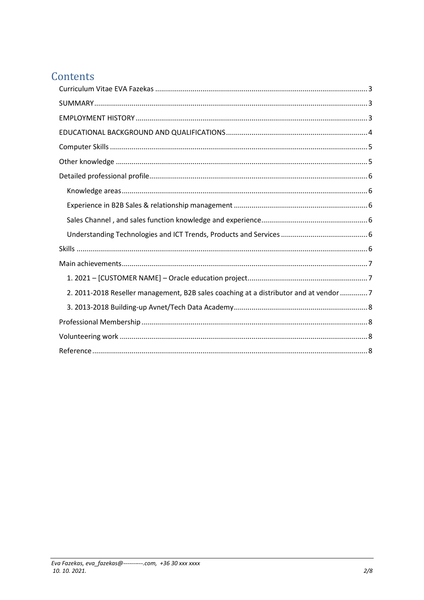# Contents

| 2. 2011-2018 Reseller management, B2B sales coaching at a distributor and at vendor 7 |
|---------------------------------------------------------------------------------------|
|                                                                                       |
|                                                                                       |
|                                                                                       |
|                                                                                       |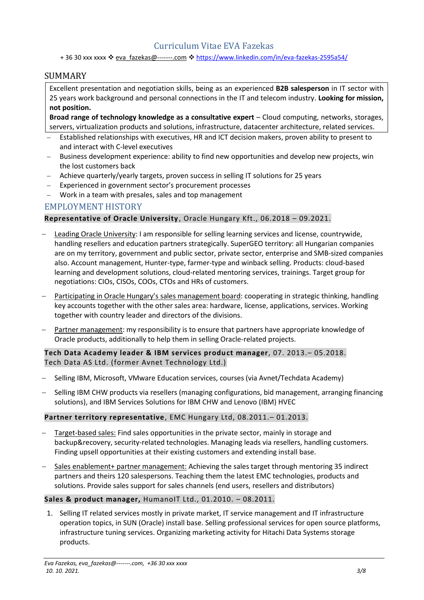# Curriculum Vitae EVA Fazekas

<span id="page-2-0"></span>+ 36 30 xxx xxxx ❖ eva\_fazekas@-------.com ❖ <https://www.linkedin.com/in/eva-fazekas-2595a54/>

#### <span id="page-2-1"></span>SUMMARY

Excellent presentation and negotiation skills, being as an experienced **B2B salesperson** in IT sector with 25 years work background and personal connections in the IT and telecom industry. **Looking for mission, not position.**

**Broad range of technology knowledge as a consultative expert** – Cloud computing, networks, storages, servers, virtualization products and solutions, infrastructure, datacenter architecture, related services.

- Established relationships with executives, HR and ICT decision makers, proven ability to present to and interact with C-level executives
- − Business development experience: ability to find new opportunities and develop new projects, win the lost customers back
- − Achieve quarterly/yearly targets, proven success in selling IT solutions for 25 years
- − Experienced in government sector's procurement processes
- − Work in a team with presales, sales and top management

#### <span id="page-2-2"></span>EMPLOYMENT HISTORY

#### **Representative of Oracle University**, Oracle Hungary Kft., 06.2018 – 09.2021.

- − Leading Oracle University: I am responsible for selling learning services and license, countrywide, handling resellers and education partners strategically. SuperGEO territory: all Hungarian companies are on my territory, government and public sector, private sector, enterprise and SMB-sized companies also. Account management, Hunter-type, farmer-type and winback selling. Products: cloud-based learning and development solutions, cloud-related mentoring services, trainings. Target group for negotiations: CIOs, CISOs, COOs, CTOs and HRs of customers.
- Participating in Oracle Hungary's sales management board: cooperating in strategic thinking, handling key accounts together with the other sales area: hardware, license, applications, services. Working together with country leader and directors of the divisions.
- − Partner management: my responsibility is to ensure that partners have appropriate knowledge of Oracle products, additionally to help them in selling Oracle-related projects.

**Tech Data Academy leader & IBM services product manager**, 07. 2013.– 05.2018. Tech Data AS Ltd. (former Avnet Technology Ltd.)

- − Selling IBM, Microsoft, VMware Education services, courses (via Avnet/Techdata Academy)
- − Selling IBM CHW products via resellers (managing configurations, bid management, arranging financing solutions), and IBM Services Solutions for IBM CHW and Lenovo (IBM) HVEC

#### **Partner territory representative**, EMC Hungary Ltd, 08.2011.– 01.2013.

- Target-based sales: Find sales opportunities in the private sector, mainly in storage and backup&recovery, security-related technologies. Managing leads via resellers, handling customers. Finding upsell opportunities at their existing customers and extending install base.
- − Sales enablement+ partner management: Achieving the sales target through mentoring 35 indirect partners and theirs 120 salespersons. Teaching them the latest EMC technologies, products and solutions. Provide sales support for sales channels (end users, resellers and distributors)

#### **Sales & product manager,** HumanoIT Ltd., 01.2010. – 08.2011.

1. Selling IT related services mostly in private market, IT service management and IT infrastructure operation topics, in SUN (Oracle) install base. Selling professional services for open source platforms, infrastructure tuning services. Organizing marketing activity for Hitachi Data Systems storage products.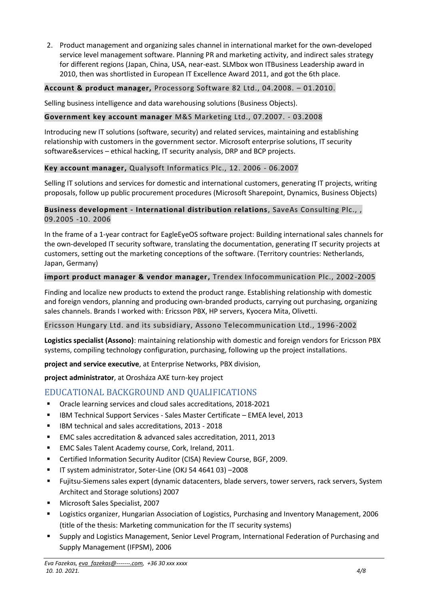2. Product management and organizing sales channel in international market for the own-developed service level management software. Planning PR and marketing activity, and indirect sales strategy for different regions (Japan, China, USA, near-east. SLMbox won ITBusiness Leadership award in 2010, then was shortlisted in European IT Excellence Award 2011, and got the 6th place.

#### **Account & product manager,** Processorg Software 82 Ltd., 04.2008. – 01.2010.

Selling business intelligence and data warehousing solutions (Business Objects).

#### **Government key account manager** M&S Marketing Ltd., 07.2007. - 03.2008

Introducing new IT solutions (software, security) and related services, maintaining and establishing relationship with customers in the government sector. Microsoft enterprise solutions, IT security software&services – ethical hacking, IT security analysis, DRP and BCP projects.

#### **Key account manager,** Qualysoft Informatics Plc., 12. 2006 - 06.2007

Selling IT solutions and services for domestic and international customers, generating IT projects, writing proposals, follow up public procurement procedures (Microsoft Sharepoint, Dynamics, Business Objects)

#### **Business development - International distribution relations**, SaveAs Consulting Plc., , 09.2005 -10. 2006

In the frame of a 1-year contract for EagleEyeOS software project: Building international sales channels for the own-developed IT security software, translating the documentation, generating IT security projects at customers, setting out the marketing conceptions of the software. (Territory countries: Netherlands, Japan, Germany)

#### **import product manager & vendor manager,** Trendex Infocommunication Plc., 2002-2005

Finding and localize new products to extend the product range. Establishing relationship with domestic and foreign vendors, planning and producing own-branded products, carrying out purchasing, organizing sales channels. Brands I worked with: Ericsson PBX, HP servers, Kyocera Mita, Olivetti.

#### Ericsson Hungary Ltd. and its subsidiary, Assono Telecommunication Ltd., 1996 -2002

**Logistics specialist (Assono)**: maintaining relationship with domestic and foreign vendors for Ericsson PBX systems, compiling technology configuration, purchasing, following up the project installations.

**project and service executive**, at Enterprise Networks, PBX division,

**project administrator**, at Orosháza AXE turn-key project

# <span id="page-3-0"></span>EDUCATIONAL BACKGROUND AND QUALIFICATIONS

- Oracle learning services and cloud sales accreditations, 2018-2021
- IBM Technical Support Services Sales Master Certificate EMEA level, 2013
- IBM technical and sales accreditations, 2013 2018
- EMC sales accreditation & advanced sales accreditation, 2011, 2013
- EMC Sales Talent Academy course, Cork, Ireland, 2011.
- Certified Information Security Auditor (CISA) Review Course, BGF, 2009.
- IT system administrator, Soter-Line (OKJ 54 4641 03) –2008
- Fujitsu-Siemens sales expert (dynamic datacenters, blade servers, tower servers, rack servers, System Architect and Storage solutions) 2007
- Microsoft Sales Specialist, 2007
- Logistics organizer, Hungarian Association of Logistics, Purchasing and Inventory Management, 2006 (title of the thesis: Marketing communication for the IT security systems)
- Supply and Logistics Management, Senior Level Program, International Federation of Purchasing and Supply Management (IFPSM), 2006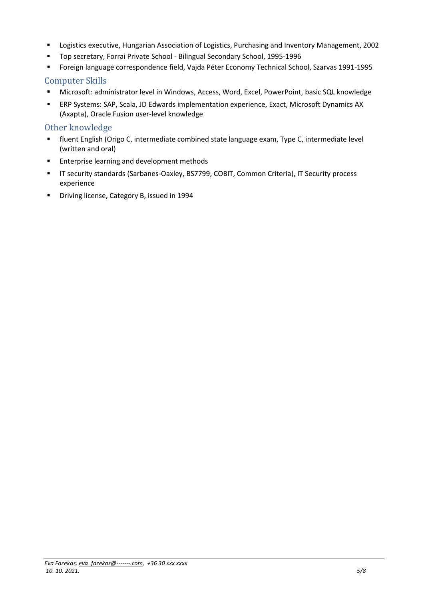- Logistics executive, Hungarian Association of Logistics, Purchasing and Inventory Management, 2002
- Top secretary, Forrai Private School Bilingual Secondary School, 1995-1996
- Foreign language correspondence field, Vajda Péter Economy Technical School, Szarvas 1991-1995

#### <span id="page-4-0"></span>Computer Skills

- Microsoft: administrator level in Windows, Access, Word, Excel, PowerPoint, basic SQL knowledge
- ERP Systems: SAP, Scala, JD Edwards implementation experience, Exact, Microsoft Dynamics AX (Axapta), Oracle Fusion user-level knowledge

#### <span id="page-4-1"></span>Other knowledge

- fluent English (Origo C, intermediate combined state language exam, Type C, intermediate level (written and oral)
- Enterprise learning and development methods
- IT security standards (Sarbanes-Oaxley, BS7799, COBIT, Common Criteria), IT Security process experience
- Driving license, Category B, issued in 1994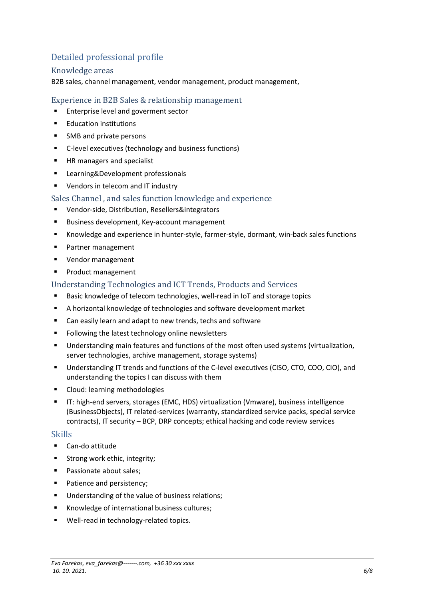# <span id="page-5-0"></span>Detailed professional profile

#### <span id="page-5-1"></span>Knowledge areas

B2B sales, channel management, vendor management, product management,

#### <span id="page-5-2"></span>Experience in B2B Sales & relationship management

- Enterprise level and goverment sector
- Education institutions
- SMB and private persons
- C-level executives (technology and business functions)
- HR managers and specialist
- Learning&Development professionals
- Vendors in telecom and IT industry
- <span id="page-5-3"></span>Sales Channel , and sales function knowledge and experience
- Vendor-side, Distribution, Resellers&integrators
- Business development, Key-account management
- Knowledge and experience in hunter-style, farmer-style, dormant, win-back sales functions
- Partner management
- Vendor management
- Product management

#### <span id="page-5-4"></span>Understanding Technologies and ICT Trends, Products and Services

- Basic knowledge of telecom technologies, well-read in IoT and storage topics
- A horizontal knowledge of technologies and software development market
- Can easily learn and adapt to new trends, techs and software
- Following the latest technology online newsletters
- **■** Understanding main features and functions of the most often used systems (virtualization, server technologies, archive management, storage systems)
- Understanding IT trends and functions of the C-level executives (CISO, CTO, COO, CIO), and understanding the topics I can discuss with them
- Cloud: learning methodologies
- IT: high-end servers, storages (EMC, HDS) virtualization (Vmware), business intelligence (BusinessObjects), IT related-services (warranty, standardized service packs, special service contracts), IT security – BCP, DRP concepts; ethical hacking and code review services

#### <span id="page-5-5"></span>Skills

- Can-do attitude
- Strong work ethic, integrity;
- Passionate about sales;
- Patience and persistency:
- Understanding of the value of business relations:
- Knowledge of international business cultures;
- Well-read in technology-related topics.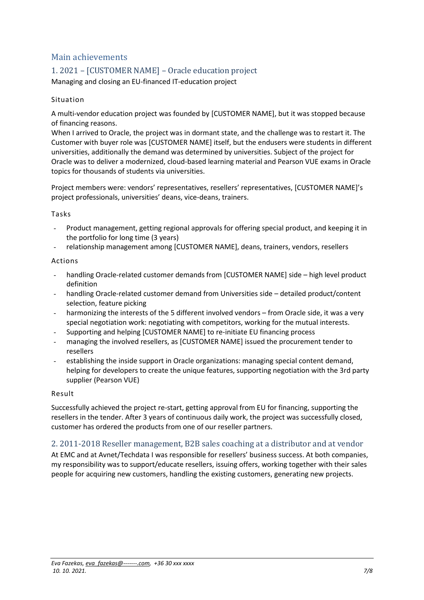# <span id="page-6-0"></span>Main achievements

# <span id="page-6-1"></span>1. 2021 – [CUSTOMER NAME] – Oracle education project

Managing and closing an EU-financed IT-education project

#### Situation

A multi-vendor education project was founded by [CUSTOMER NAME], but it was stopped because of financing reasons.

When I arrived to Oracle, the project was in dormant state, and the challenge was to restart it. The Customer with buyer role was [CUSTOMER NAME] itself, but the endusers were students in different universities, additionally the demand was determined by universities. Subject of the project for Oracle was to deliver a modernized, cloud-based learning material and Pearson VUE exams in Oracle topics for thousands of students via universities.

Project members were: vendors' representatives, resellers' representatives, [CUSTOMER NAME]'s project professionals, universities' deans, vice-deans, trainers.

#### Tasks

- Product management, getting regional approvals for offering special product, and keeping it in the portfolio for long time (3 years)
- relationship management among [CUSTOMER NAME], deans, trainers, vendors, resellers

#### Actions

- handling Oracle-related customer demands from [CUSTOMER NAME] side high level product definition
- handling Oracle-related customer demand from Universities side detailed product/content selection, feature picking
- harmonizing the interests of the 5 different involved vendors from Oracle side, it was a very special negotiation work: negotiating with competitors, working for the mutual interests.
- Supporting and helping [CUSTOMER NAME] to re-initiate EU financing process
- managing the involved resellers, as [CUSTOMER NAME] issued the procurement tender to resellers
- establishing the inside support in Oracle organizations: managing special content demand, helping for developers to create the unique features, supporting negotiation with the 3rd party supplier (Pearson VUE)

#### Result

Successfully achieved the project re-start, getting approval from EU for financing, supporting the resellers in the tender. After 3 years of continuous daily work, the project was successfully closed, customer has ordered the products from one of our reseller partners.

#### <span id="page-6-2"></span>2. 2011-2018 Reseller management, B2B sales coaching at a distributor and at vendor

At EMC and at Avnet/Techdata I was responsible for resellers' business success. At both companies, my responsibility was to support/educate resellers, issuing offers, working together with their sales people for acquiring new customers, handling the existing customers, generating new projects.